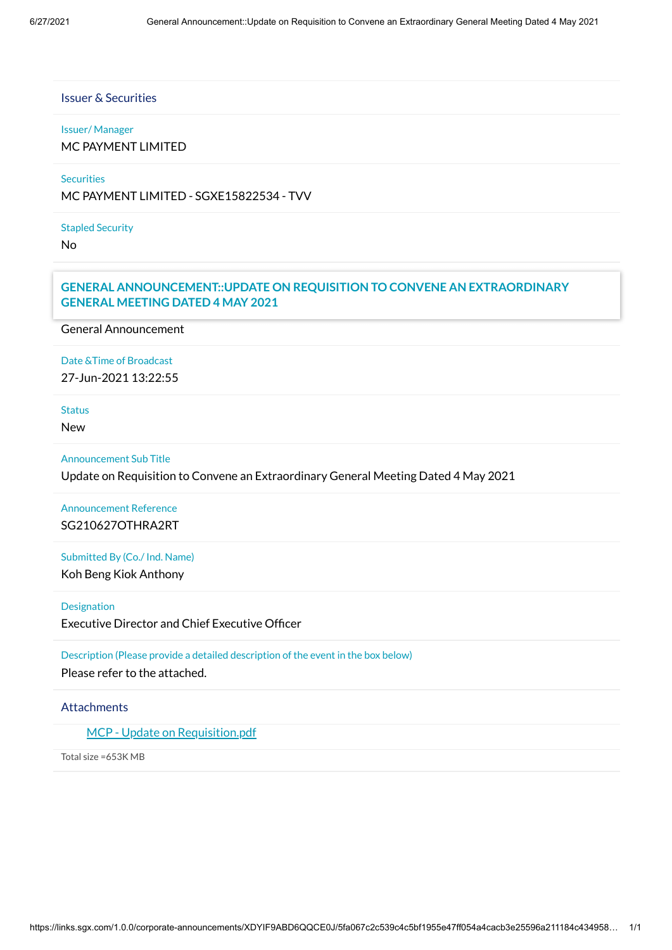# Issuer & Securities

#### Issuer/ Manager

MC PAYMENT LIMITED

# **Securities**

MC PAYMENT LIMITED - SGXE15822534 - TVV

#### Stapled Security

No

# Announcement Details **GENERAL ANNOUNCEMENT::UPDATE ON REQUISITION TO CONVENE AN EXTRAORDINARY GENERAL MEETING DATED 4 MAY 2021**

General Announcement

# Date &Time of Broadcast 27-Jun-2021 13:22:55

Status

New

#### Announcement Sub Title

Update on Requisition to Convene an Extraordinary General Meeting Dated 4 May 2021

Announcement Reference SG210627OTHRA2RT

Submitted By (Co./ Ind. Name)

Koh Beng Kiok Anthony

**Designation** 

Executive Director and Chief Executive Officer

Description (Please provide a detailed description of the event in the box below) Please refer to the attached.

#### **Attachments**

MCP - Update on [Requisition.pdf](https://links.sgx.com/1.0.0/corporate-announcements/XDYIF9ABD6QQCE0J/672544_MCP%20-%20Update%20on%20Requisition.pdf)

Total size =653K MB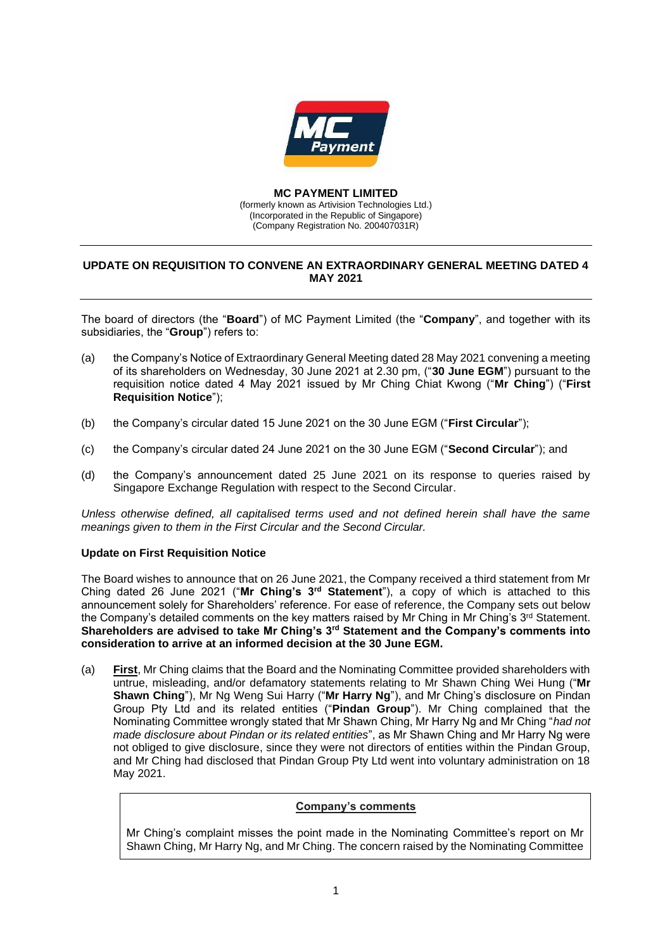

#### **MC PAYMENT LIMITED**

(formerly known as Artivision Technologies Ltd.) (Incorporated in the Republic of Singapore) (Company Registration No. 200407031R)

### **UPDATE ON REQUISITION TO CONVENE AN EXTRAORDINARY GENERAL MEETING DATED 4 MAY 2021**

The board of directors (the "**Board**") of MC Payment Limited (the "**Company**", and together with its subsidiaries, the "**Group**") refers to:

- (a) the Company's Notice of Extraordinary General Meeting dated 28 May 2021 convening a meeting of its shareholders on Wednesday, 30 June 2021 at 2.30 pm, ("**30 June EGM**") pursuant to the requisition notice dated 4 May 2021 issued by Mr Ching Chiat Kwong ("**Mr Ching**") ("**First Requisition Notice**");
- (b) the Company's circular dated 15 June 2021 on the 30 June EGM ("**First Circular**");
- (c) the Company's circular dated 24 June 2021 on the 30 June EGM ("**Second Circular**"); and
- (d) the Company's announcement dated 25 June 2021 on its response to queries raised by Singapore Exchange Regulation with respect to the Second Circular.

*Unless otherwise defined, all capitalised terms used and not defined herein shall have the same meanings given to them in the First Circular and the Second Circular.*

#### **Update on First Requisition Notice**

The Board wishes to announce that on 26 June 2021, the Company received a third statement from Mr Ching dated 26 June 2021 ("**Mr Ching's 3rd Statement**"), a copy of which is attached to this announcement solely for Shareholders' reference. For ease of reference, the Company sets out below the Company's detailed comments on the key matters raised by Mr Ching in Mr Ching's 3<sup>rd</sup> Statement. **Shareholders are advised to take Mr Ching's 3rd Statement and the Company's comments into consideration to arrive at an informed decision at the 30 June EGM.**

(a) **First**, Mr Ching claims that the Board and the Nominating Committee provided shareholders with untrue, misleading, and/or defamatory statements relating to Mr Shawn Ching Wei Hung ("**Mr Shawn Ching**"), Mr Ng Weng Sui Harry ("**Mr Harry Ng**"), and Mr Ching's disclosure on Pindan Group Pty Ltd and its related entities ("**Pindan Group**"). Mr Ching complained that the Nominating Committee wrongly stated that Mr Shawn Ching, Mr Harry Ng and Mr Ching "*had not made disclosure about Pindan or its related entities*", as Mr Shawn Ching and Mr Harry Ng were not obliged to give disclosure, since they were not directors of entities within the Pindan Group, and Mr Ching had disclosed that Pindan Group Pty Ltd went into voluntary administration on 18 May 2021.

#### **Company's comments**

Mr Ching's complaint misses the point made in the Nominating Committee's report on Mr Shawn Ching, Mr Harry Ng, and Mr Ching. The concern raised by the Nominating Committee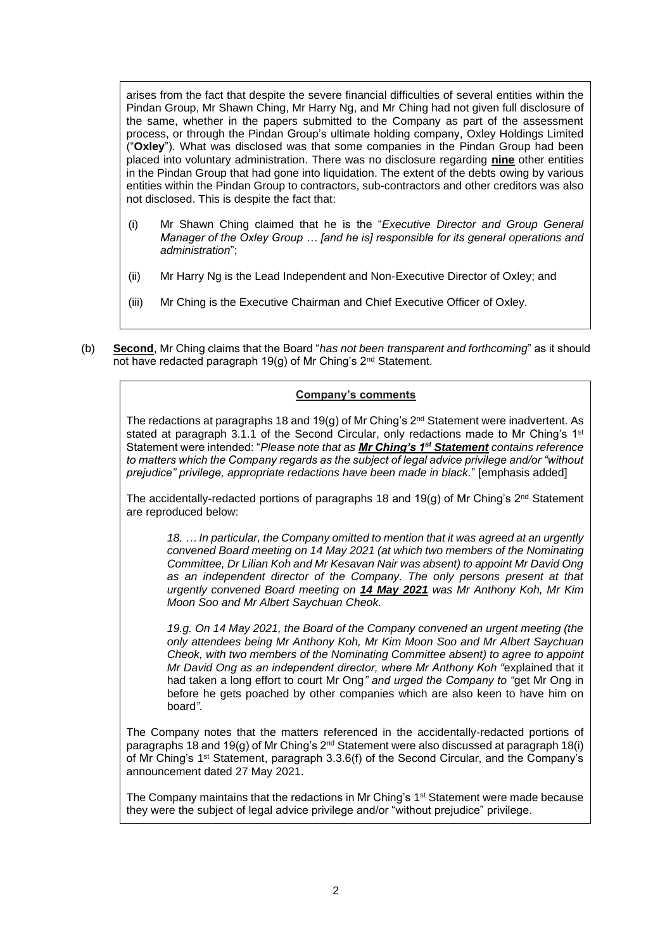arises from the fact that despite the severe financial difficulties of several entities within the Pindan Group, Mr Shawn Ching, Mr Harry Ng, and Mr Ching had not given full disclosure of the same, whether in the papers submitted to the Company as part of the assessment process, or through the Pindan Group's ultimate holding company, Oxley Holdings Limited ("**Oxley**"). What was disclosed was that some companies in the Pindan Group had been placed into voluntary administration. There was no disclosure regarding **nine** other entities in the Pindan Group that had gone into liquidation. The extent of the debts owing by various entities within the Pindan Group to contractors, sub-contractors and other creditors was also not disclosed. This is despite the fact that:

- (i) Mr Shawn Ching claimed that he is the "*Executive Director and Group General Manager of the Oxley Group … [and he is] responsible for its general operations and administration*";
- (ii) Mr Harry Ng is the Lead Independent and Non-Executive Director of Oxley; and
- (iii) Mr Ching is the Executive Chairman and Chief Executive Officer of Oxley.
- (b) **Second**, Mr Ching claims that the Board "*has not been transparent and forthcoming*" as it should not have redacted paragraph 19(g) of Mr Ching's 2<sup>nd</sup> Statement.

# **Company's comments**

The redactions at paragraphs 18 and 19(g) of Mr Ching's  $2<sup>nd</sup>$  Statement were inadvertent. As stated at paragraph 3.1.1 of the Second Circular, only redactions made to Mr Ching's  $1<sup>st</sup>$ Statement were intended: "*Please note that as Mr Ching's 1st Statement contains reference to matters which the Company regards as the subject of legal advice privilege and/or "without prejudice" privilege, appropriate redactions have been made in black.*" [emphasis added]

The accidentally-redacted portions of paragraphs 18 and 19(g) of Mr Ching's  $2<sup>nd</sup>$  Statement are reproduced below:

*18. … In particular, the Company omitted to mention that it was agreed at an urgently convened Board meeting on 14 May 2021 (at which two members of the Nominating Committee, Dr Lilian Koh and Mr Kesavan Nair was absent) to appoint Mr David Ong as an independent director of the Company. The only persons present at that urgently convened Board meeting on 14 May 2021 was Mr Anthony Koh, Mr Kim Moon Soo and Mr Albert Saychuan Cheok.*

*19.g. On 14 May 2021, the Board of the Company convened an urgent meeting (the only attendees being Mr Anthony Koh, Mr Kim Moon Soo and Mr Albert Saychuan Cheok, with two members of the Nominating Committee absent) to agree to appoint Mr David Ong as an independent director, where Mr Anthony Koh "*explained that it had taken a long effort to court Mr Ong*" and urged the Company to "*get Mr Ong in before he gets poached by other companies which are also keen to have him on board*".*

The Company notes that the matters referenced in the accidentally-redacted portions of paragraphs 18 and 19(g) of Mr Ching's 2nd Statement were also discussed at paragraph 18(i) of Mr Ching's 1<sup>st</sup> Statement, paragraph 3.3.6(f) of the Second Circular, and the Company's announcement dated 27 May 2021.

The Company maintains that the redactions in Mr Ching's 1<sup>st</sup> Statement were made because they were the subject of legal advice privilege and/or "without prejudice" privilege.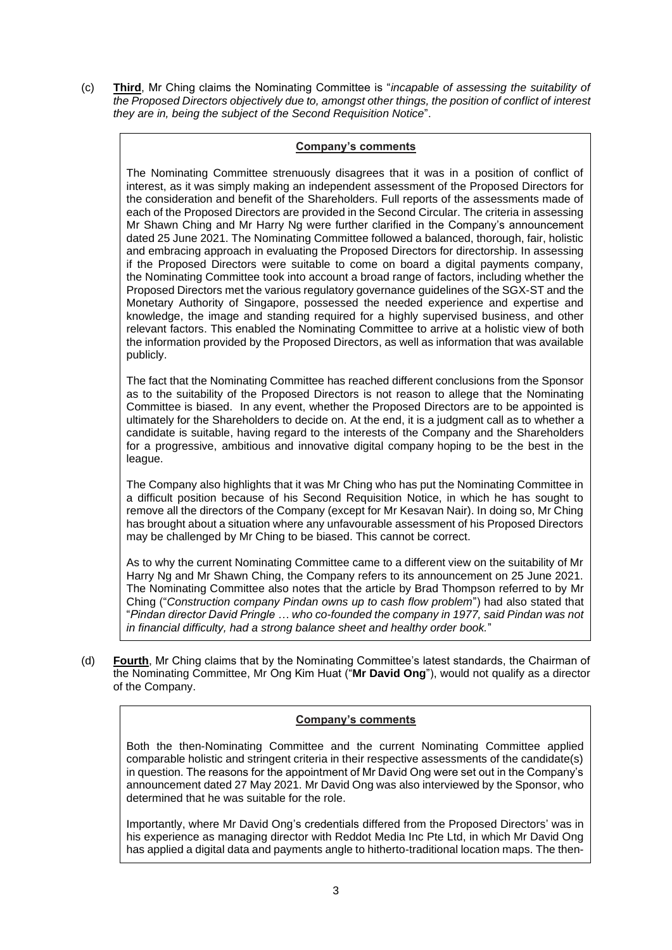(c) **Third**, Mr Ching claims the Nominating Committee is "*incapable of assessing the suitability of the Proposed Directors objectively due to, amongst other things, the position of conflict of interest they are in, being the subject of the Second Requisition Notice*".

# **Company's comments**

The Nominating Committee strenuously disagrees that it was in a position of conflict of interest, as it was simply making an independent assessment of the Proposed Directors for the consideration and benefit of the Shareholders. Full reports of the assessments made of each of the Proposed Directors are provided in the Second Circular. The criteria in assessing Mr Shawn Ching and Mr Harry Ng were further clarified in the Company's announcement dated 25 June 2021. The Nominating Committee followed a balanced, thorough, fair, holistic and embracing approach in evaluating the Proposed Directors for directorship. In assessing if the Proposed Directors were suitable to come on board a digital payments company, the Nominating Committee took into account a broad range of factors, including whether the Proposed Directors met the various regulatory governance guidelines of the SGX-ST and the Monetary Authority of Singapore, possessed the needed experience and expertise and knowledge, the image and standing required for a highly supervised business, and other relevant factors. This enabled the Nominating Committee to arrive at a holistic view of both the information provided by the Proposed Directors, as well as information that was available publicly.

The fact that the Nominating Committee has reached different conclusions from the Sponsor as to the suitability of the Proposed Directors is not reason to allege that the Nominating Committee is biased. In any event, whether the Proposed Directors are to be appointed is ultimately for the Shareholders to decide on. At the end, it is a judgment call as to whether a candidate is suitable, having regard to the interests of the Company and the Shareholders for a progressive, ambitious and innovative digital company hoping to be the best in the league.

The Company also highlights that it was Mr Ching who has put the Nominating Committee in a difficult position because of his Second Requisition Notice, in which he has sought to remove all the directors of the Company (except for Mr Kesavan Nair). In doing so, Mr Ching has brought about a situation where any unfavourable assessment of his Proposed Directors may be challenged by Mr Ching to be biased. This cannot be correct.

As to why the current Nominating Committee came to a different view on the suitability of Mr Harry Ng and Mr Shawn Ching, the Company refers to its announcement on 25 June 2021. The Nominating Committee also notes that the article by Brad Thompson referred to by Mr Ching ("*Construction company Pindan owns up to cash flow problem*") had also stated that "*Pindan director David Pringle … who co-founded the company in 1977, said Pindan was not in financial difficulty, had a strong balance sheet and healthy order book.*"

(d) **Fourth**, Mr Ching claims that by the Nominating Committee's latest standards, the Chairman of the Nominating Committee, Mr Ong Kim Huat ("**Mr David Ong**"), would not qualify as a director of the Company.

### **Company's comments**

Both the then-Nominating Committee and the current Nominating Committee applied comparable holistic and stringent criteria in their respective assessments of the candidate(s) in question. The reasons for the appointment of Mr David Ong were set out in the Company's announcement dated 27 May 2021. Mr David Ong was also interviewed by the Sponsor, who determined that he was suitable for the role.

Importantly, where Mr David Ong's credentials differed from the Proposed Directors' was in his experience as managing director with Reddot Media Inc Pte Ltd, in which Mr David Ong has applied a digital data and payments angle to hitherto-traditional location maps. The then-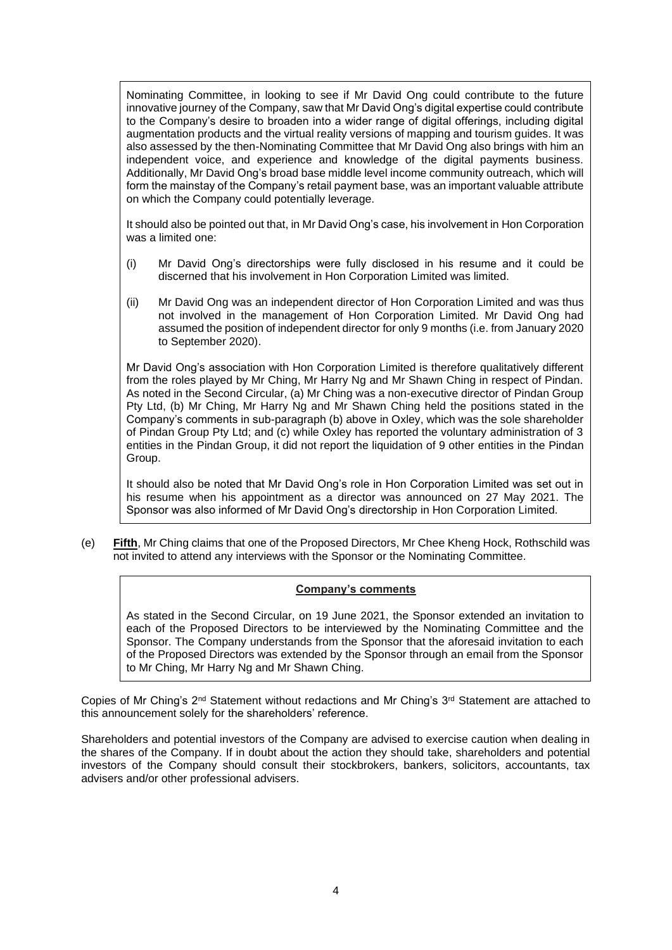Nominating Committee, in looking to see if Mr David Ong could contribute to the future innovative journey of the Company, saw that Mr David Ong's digital expertise could contribute to the Company's desire to broaden into a wider range of digital offerings, including digital augmentation products and the virtual reality versions of mapping and tourism guides. It was also assessed by the then-Nominating Committee that Mr David Ong also brings with him an independent voice, and experience and knowledge of the digital payments business. Additionally, Mr David Ong's broad base middle level income community outreach, which will form the mainstay of the Company's retail payment base, was an important valuable attribute on which the Company could potentially leverage.

It should also be pointed out that, in Mr David Ong's case, his involvement in Hon Corporation was a limited one:

- (i) Mr David Ong's directorships were fully disclosed in his resume and it could be discerned that his involvement in Hon Corporation Limited was limited.
- (ii) Mr David Ong was an independent director of Hon Corporation Limited and was thus not involved in the management of Hon Corporation Limited. Mr David Ong had assumed the position of independent director for only 9 months (i.e. from January 2020 to September 2020).

Mr David Ong's association with Hon Corporation Limited is therefore qualitatively different from the roles played by Mr Ching, Mr Harry Ng and Mr Shawn Ching in respect of Pindan. As noted in the Second Circular, (a) Mr Ching was a non-executive director of Pindan Group Pty Ltd, (b) Mr Ching, Mr Harry Ng and Mr Shawn Ching held the positions stated in the Company's comments in sub-paragraph (b) above in Oxley, which was the sole shareholder of Pindan Group Pty Ltd; and (c) while Oxley has reported the voluntary administration of 3 entities in the Pindan Group, it did not report the liquidation of 9 other entities in the Pindan Group.

It should also be noted that Mr David Ong's role in Hon Corporation Limited was set out in his resume when his appointment as a director was announced on 27 May 2021. The Sponsor was also informed of Mr David Ong's directorship in Hon Corporation Limited.

(e) **Fifth**, Mr Ching claims that one of the Proposed Directors, Mr Chee Kheng Hock, Rothschild was not invited to attend any interviews with the Sponsor or the Nominating Committee.

### **Company's comments**

As stated in the Second Circular, on 19 June 2021, the Sponsor extended an invitation to each of the Proposed Directors to be interviewed by the Nominating Committee and the Sponsor. The Company understands from the Sponsor that the aforesaid invitation to each of the Proposed Directors was extended by the Sponsor through an email from the Sponsor to Mr Ching, Mr Harry Ng and Mr Shawn Ching.

Copies of Mr Ching's 2<sup>nd</sup> Statement without redactions and Mr Ching's 3<sup>rd</sup> Statement are attached to this announcement solely for the shareholders' reference.

Shareholders and potential investors of the Company are advised to exercise caution when dealing in the shares of the Company. If in doubt about the action they should take, shareholders and potential investors of the Company should consult their stockbrokers, bankers, solicitors, accountants, tax advisers and/or other professional advisers.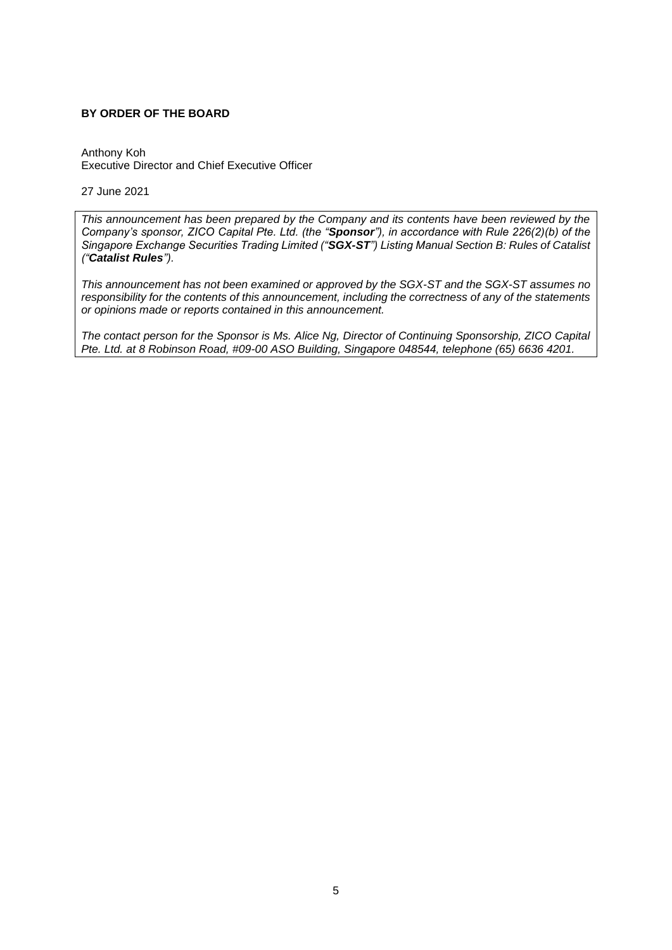#### **BY ORDER OF THE BOARD**

Anthony Koh Executive Director and Chief Executive Officer

27 June 2021

*This announcement has been prepared by the Company and its contents have been reviewed by the Company's sponsor, ZICO Capital Pte. Ltd. (the "Sponsor"), in accordance with Rule 226(2)(b) of the Singapore Exchange Securities Trading Limited ("SGX-ST") Listing Manual Section B: Rules of Catalist ("Catalist Rules").*

*This announcement has not been examined or approved by the SGX-ST and the SGX-ST assumes no responsibility for the contents of this announcement, including the correctness of any of the statements or opinions made or reports contained in this announcement.*

*The contact person for the Sponsor is Ms. Alice Ng, Director of Continuing Sponsorship, ZICO Capital Pte. Ltd. at 8 Robinson Road, #09-00 ASO Building, Singapore 048544, telephone (65) 6636 4201.*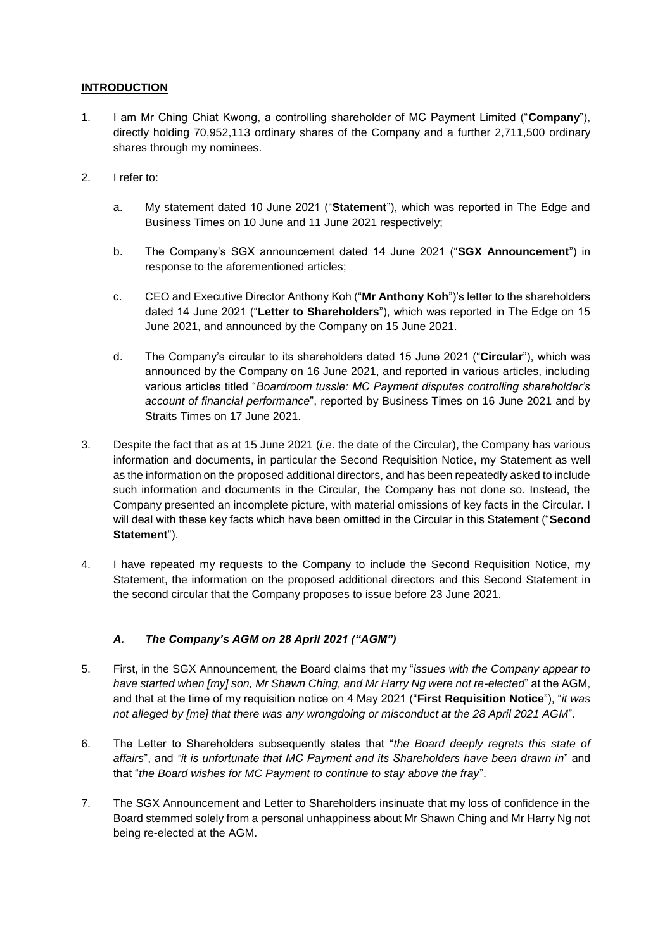# **INTRODUCTION**

- 1. I am Mr Ching Chiat Kwong, a controlling shareholder of MC Payment Limited ("**Company**"), directly holding 70,952,113 ordinary shares of the Company and a further 2,711,500 ordinary shares through my nominees.
- 2. I refer to:
	- a. My statement dated 10 June 2021 ("**Statement**"), which was reported in The Edge and Business Times on 10 June and 11 June 2021 respectively;
	- b. The Company's SGX announcement dated 14 June 2021 ("**SGX Announcement**") in response to the aforementioned articles;
	- c. CEO and Executive Director Anthony Koh ("**Mr Anthony Koh**")'s letter to the shareholders dated 14 June 2021 ("**Letter to Shareholders**"), which was reported in The Edge on 15 June 2021, and announced by the Company on 15 June 2021.
	- d. The Company's circular to its shareholders dated 15 June 2021 ("**Circular**"), which was announced by the Company on 16 June 2021, and reported in various articles, including various articles titled "*Boardroom tussle: MC Payment disputes controlling shareholder's account of financial performance*", reported by Business Times on 16 June 2021 and by Straits Times on 17 June 2021.
- 3. Despite the fact that as at 15 June 2021 (*i.e*. the date of the Circular), the Company has various information and documents, in particular the Second Requisition Notice, my Statement as well as the information on the proposed additional directors, and has been repeatedly asked to include such information and documents in the Circular, the Company has not done so. Instead, the Company presented an incomplete picture, with material omissions of key facts in the Circular. I will deal with these key facts which have been omitted in the Circular in this Statement ("**Second Statement**").
- 4. I have repeated my requests to the Company to include the Second Requisition Notice, my Statement, the information on the proposed additional directors and this Second Statement in the second circular that the Company proposes to issue before 23 June 2021.

# *A. The Company's AGM on 28 April 2021 ("AGM")*

- 5. First, in the SGX Announcement, the Board claims that my "*issues with the Company appear to have started when [my] son, Mr Shawn Ching, and Mr Harry Ng were not re-elected*" at the AGM, and that at the time of my requisition notice on 4 May 2021 ("**First Requisition Notice**"), "*it was not alleged by [me] that there was any wrongdoing or misconduct at the 28 April 2021 AGM*".
- 6. The Letter to Shareholders subsequently states that "*the Board deeply regrets this state of affairs*", and *"it is unfortunate that MC Payment and its Shareholders have been drawn in*" and that "*the Board wishes for MC Payment to continue to stay above the fray*".
- 7. The SGX Announcement and Letter to Shareholders insinuate that my loss of confidence in the Board stemmed solely from a personal unhappiness about Mr Shawn Ching and Mr Harry Ng not being re-elected at the AGM.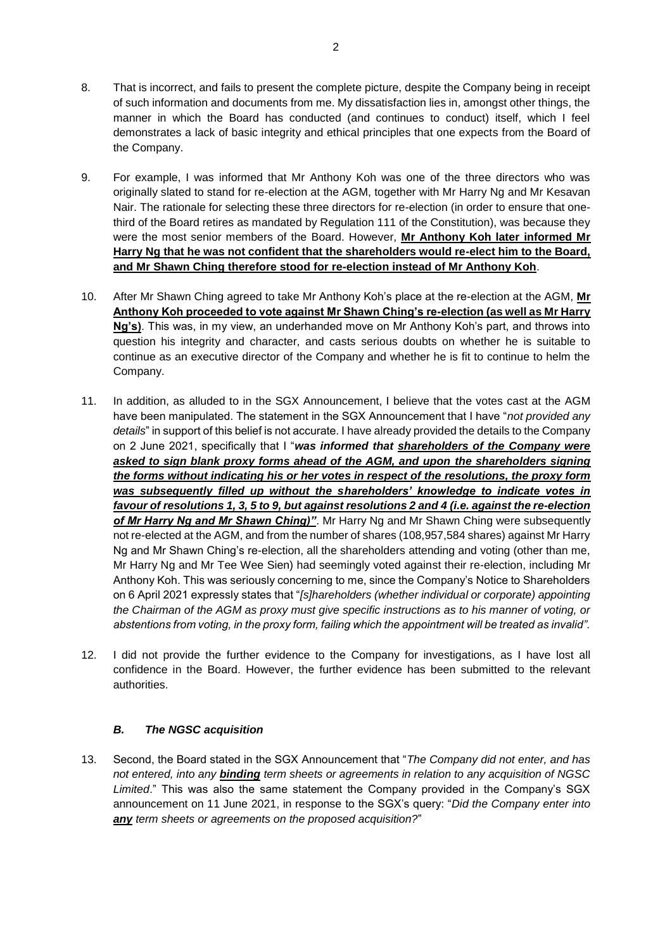- 8. That is incorrect, and fails to present the complete picture, despite the Company being in receipt of such information and documents from me. My dissatisfaction lies in, amongst other things, the manner in which the Board has conducted (and continues to conduct) itself, which I feel demonstrates a lack of basic integrity and ethical principles that one expects from the Board of the Company.
- 9. For example, I was informed that Mr Anthony Koh was one of the three directors who was originally slated to stand for re-election at the AGM, together with Mr Harry Ng and Mr Kesavan Nair. The rationale for selecting these three directors for re-election (in order to ensure that onethird of the Board retires as mandated by Regulation 111 of the Constitution), was because they were the most senior members of the Board. However, **Mr Anthony Koh later informed Mr Harry Ng that he was not confident that the shareholders would re-elect him to the Board, and Mr Shawn Ching therefore stood for re-election instead of Mr Anthony Koh**.
- 10. After Mr Shawn Ching agreed to take Mr Anthony Koh's place at the re-election at the AGM, **Mr Anthony Koh proceeded to vote against Mr Shawn Ching's re-election (as well as Mr Harry Ng's)**. This was, in my view, an underhanded move on Mr Anthony Koh's part, and throws into question his integrity and character, and casts serious doubts on whether he is suitable to continue as an executive director of the Company and whether he is fit to continue to helm the Company.
- 11. In addition, as alluded to in the SGX Announcement, I believe that the votes cast at the AGM have been manipulated. The statement in the SGX Announcement that I have "*not provided any details*" in support of this belief is not accurate. I have already provided the details to the Company on 2 June 2021, specifically that I "*was informed that shareholders of the Company were asked to sign blank proxy forms ahead of the AGM, and upon the shareholders signing the forms without indicating his or her votes in respect of the resolutions, the proxy form was subsequently filled up without the shareholders' knowledge to indicate votes in favour of resolutions 1, 3, 5 to 9, but against resolutions 2 and 4 (i.e. against the re-election of Mr Harry Ng and Mr Shawn Ching)"*. Mr Harry Ng and Mr Shawn Ching were subsequently not re-elected at the AGM, and from the number of shares (108,957,584 shares) against Mr Harry Ng and Mr Shawn Ching's re-election, all the shareholders attending and voting (other than me, Mr Harry Ng and Mr Tee Wee Sien) had seemingly voted against their re-election, including Mr Anthony Koh. This was seriously concerning to me, since the Company's Notice to Shareholders on 6 April 2021 expressly states that "*[s]hareholders (whether individual or corporate) appointing the Chairman of the AGM as proxy must give specific instructions as to his manner of voting, or abstentions from voting, in the proxy form, failing which the appointment will be treated as invalid".*
- 12. I did not provide the further evidence to the Company for investigations, as I have lost all confidence in the Board. However, the further evidence has been submitted to the relevant authorities.

# *B. The NGSC acquisition*

13. Second, the Board stated in the SGX Announcement that "*The Company did not enter, and has not entered, into any binding term sheets or agreements in relation to any acquisition of NGSC Limited*." This was also the same statement the Company provided in the Company's SGX announcement on 11 June 2021, in response to the SGX's query: "*Did the Company enter into any term sheets or agreements on the proposed acquisition?*"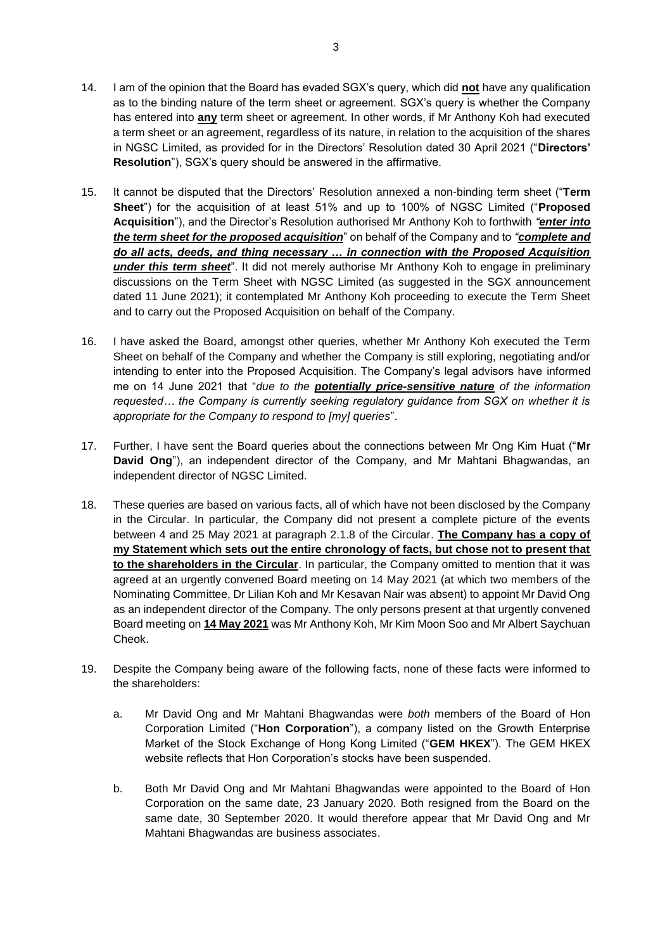- 14. I am of the opinion that the Board has evaded SGX's query, which did **not** have any qualification as to the binding nature of the term sheet or agreement. SGX's query is whether the Company has entered into **any** term sheet or agreement. In other words, if Mr Anthony Koh had executed a term sheet or an agreement, regardless of its nature, in relation to the acquisition of the shares in NGSC Limited, as provided for in the Directors' Resolution dated 30 April 2021 ("**Directors' Resolution**"), SGX's query should be answered in the affirmative.
- 15. It cannot be disputed that the Directors' Resolution annexed a non-binding term sheet ("**Term Sheet**") for the acquisition of at least 51% and up to 100% of NGSC Limited ("**Proposed Acquisition**"), and the Director's Resolution authorised Mr Anthony Koh to forthwith *"enter into the term sheet for the proposed acquisition*" on behalf of the Company and to *"complete and do all acts, deeds, and thing necessary … in connection with the Proposed Acquisition under this term sheet*". It did not merely authorise Mr Anthony Koh to engage in preliminary discussions on the Term Sheet with NGSC Limited (as suggested in the SGX announcement dated 11 June 2021); it contemplated Mr Anthony Koh proceeding to execute the Term Sheet and to carry out the Proposed Acquisition on behalf of the Company.
- 16. I have asked the Board, amongst other queries, whether Mr Anthony Koh executed the Term Sheet on behalf of the Company and whether the Company is still exploring, negotiating and/or intending to enter into the Proposed Acquisition. The Company's legal advisors have informed me on 14 June 2021 that "*due to the potentially price-sensitive nature of the information requested… the Company is currently seeking regulatory guidance from SGX on whether it is appropriate for the Company to respond to [my] queries*".
- 17. Further, I have sent the Board queries about the connections between Mr Ong Kim Huat ("**Mr David Ong**"), an independent director of the Company, and Mr Mahtani Bhagwandas, an independent director of NGSC Limited.
- 18. These queries are based on various facts, all of which have not been disclosed by the Company in the Circular. In particular, the Company did not present a complete picture of the events between 4 and 25 May 2021 at paragraph 2.1.8 of the Circular. **The Company has a copy of my Statement which sets out the entire chronology of facts, but chose not to present that to the shareholders in the Circular**. In particular, the Company omitted to mention that it was agreed at an urgently convened Board meeting on 14 May 2021 (at which two members of the Nominating Committee, Dr Lilian Koh and Mr Kesavan Nair was absent) to appoint Mr David Ong as an independent director of the Company. The only persons present at that urgently convened Board meeting on **14 May 2021** was Mr Anthony Koh, Mr Kim Moon Soo and Mr Albert Saychuan Cheok.
- 19. Despite the Company being aware of the following facts, none of these facts were informed to the shareholders:
	- a. Mr David Ong and Mr Mahtani Bhagwandas were *both* members of the Board of Hon Corporation Limited ("**Hon Corporation**"), a company listed on the Growth Enterprise Market of the Stock Exchange of Hong Kong Limited ("**GEM HKEX**"). The GEM HKEX website reflects that Hon Corporation's stocks have been suspended.
	- b. Both Mr David Ong and Mr Mahtani Bhagwandas were appointed to the Board of Hon Corporation on the same date, 23 January 2020. Both resigned from the Board on the same date, 30 September 2020. It would therefore appear that Mr David Ong and Mr Mahtani Bhagwandas are business associates.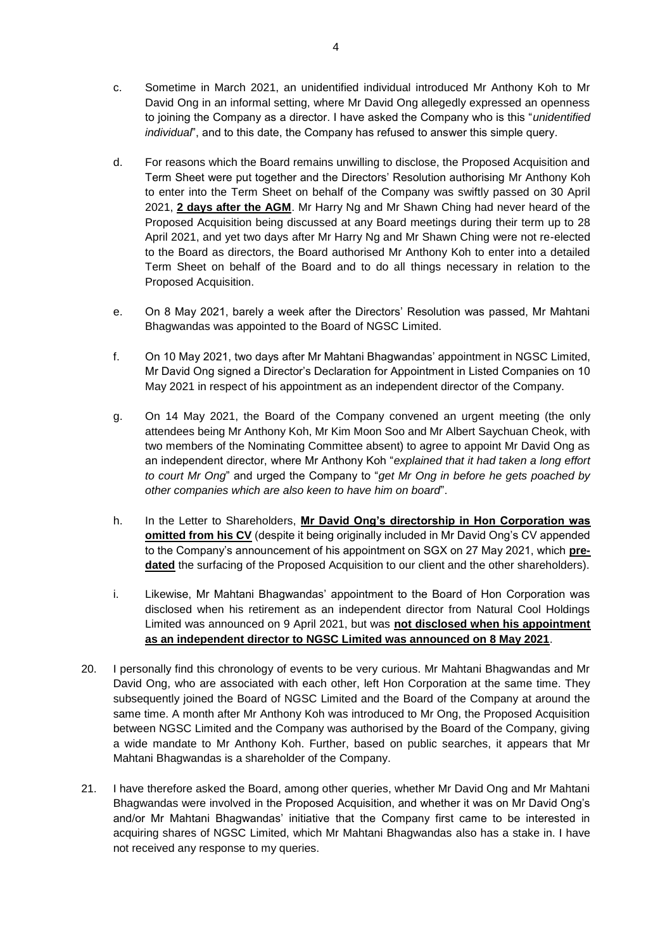- c. Sometime in March 2021, an unidentified individual introduced Mr Anthony Koh to Mr David Ong in an informal setting, where Mr David Ong allegedly expressed an openness to joining the Company as a director. I have asked the Company who is this "*unidentified individual*", and to this date, the Company has refused to answer this simple query.
- d. For reasons which the Board remains unwilling to disclose, the Proposed Acquisition and Term Sheet were put together and the Directors' Resolution authorising Mr Anthony Koh to enter into the Term Sheet on behalf of the Company was swiftly passed on 30 April 2021, **2 days after the AGM**. Mr Harry Ng and Mr Shawn Ching had never heard of the Proposed Acquisition being discussed at any Board meetings during their term up to 28 April 2021, and yet two days after Mr Harry Ng and Mr Shawn Ching were not re-elected to the Board as directors, the Board authorised Mr Anthony Koh to enter into a detailed Term Sheet on behalf of the Board and to do all things necessary in relation to the Proposed Acquisition.
- e. On 8 May 2021, barely a week after the Directors' Resolution was passed, Mr Mahtani Bhagwandas was appointed to the Board of NGSC Limited.
- f. On 10 May 2021, two days after Mr Mahtani Bhagwandas' appointment in NGSC Limited, Mr David Ong signed a Director's Declaration for Appointment in Listed Companies on 10 May 2021 in respect of his appointment as an independent director of the Company.
- g. On 14 May 2021, the Board of the Company convened an urgent meeting (the only attendees being Mr Anthony Koh, Mr Kim Moon Soo and Mr Albert Saychuan Cheok, with two members of the Nominating Committee absent) to agree to appoint Mr David Ong as an independent director, where Mr Anthony Koh "*explained that it had taken a long effort to court Mr Ong*" and urged the Company to "*get Mr Ong in before he gets poached by other companies which are also keen to have him on board*".
- h. In the Letter to Shareholders, **Mr David Ong's directorship in Hon Corporation was omitted from his CV** (despite it being originally included in Mr David Ong's CV appended to the Company's announcement of his appointment on SGX on 27 May 2021, which **pre**dated the surfacing of the Proposed Acquisition to our client and the other shareholders).
- i. Likewise, Mr Mahtani Bhagwandas' appointment to the Board of Hon Corporation was disclosed when his retirement as an independent director from Natural Cool Holdings Limited was announced on 9 April 2021, but was **not disclosed when his appointment as an independent director to NGSC Limited was announced on 8 May 2021**.
- 20. I personally find this chronology of events to be very curious. Mr Mahtani Bhagwandas and Mr David Ong, who are associated with each other, left Hon Corporation at the same time. They subsequently joined the Board of NGSC Limited and the Board of the Company at around the same time. A month after Mr Anthony Koh was introduced to Mr Ong, the Proposed Acquisition between NGSC Limited and the Company was authorised by the Board of the Company, giving a wide mandate to Mr Anthony Koh. Further, based on public searches, it appears that Mr Mahtani Bhagwandas is a shareholder of the Company.
- 21. I have therefore asked the Board, among other queries, whether Mr David Ong and Mr Mahtani Bhagwandas were involved in the Proposed Acquisition, and whether it was on Mr David Ong's and/or Mr Mahtani Bhagwandas' initiative that the Company first came to be interested in acquiring shares of NGSC Limited, which Mr Mahtani Bhagwandas also has a stake in. I have not received any response to my queries.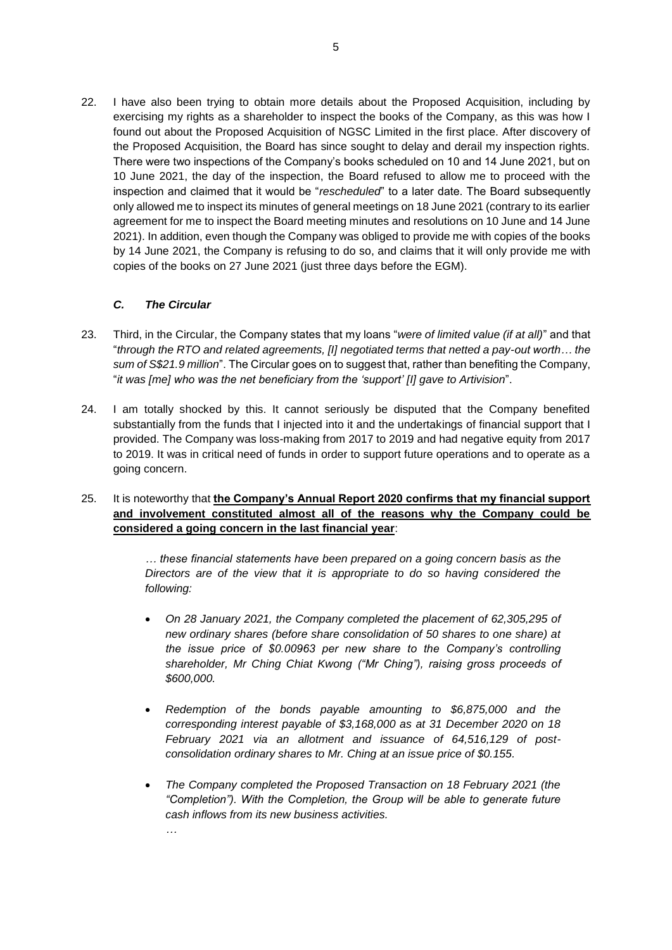22. I have also been trying to obtain more details about the Proposed Acquisition, including by exercising my rights as a shareholder to inspect the books of the Company, as this was how I found out about the Proposed Acquisition of NGSC Limited in the first place. After discovery of the Proposed Acquisition, the Board has since sought to delay and derail my inspection rights. There were two inspections of the Company's books scheduled on 10 and 14 June 2021, but on 10 June 2021, the day of the inspection, the Board refused to allow me to proceed with the inspection and claimed that it would be "*rescheduled*" to a later date. The Board subsequently only allowed me to inspect its minutes of general meetings on 18 June 2021 (contrary to its earlier agreement for me to inspect the Board meeting minutes and resolutions on 10 June and 14 June 2021). In addition, even though the Company was obliged to provide me with copies of the books by 14 June 2021, the Company is refusing to do so, and claims that it will only provide me with copies of the books on 27 June 2021 (just three days before the EGM).

# *C. The Circular*

*…*

- 23. Third, in the Circular, the Company states that my loans "*were of limited value (if at all)*" and that "*through the RTO and related agreements, [I] negotiated terms that netted a pay-out worth… the sum of S\$21.9 million*". The Circular goes on to suggest that, rather than benefiting the Company, "*it was [me] who was the net beneficiary from the 'support' [I] gave to Artivision*".
- 24. I am totally shocked by this. It cannot seriously be disputed that the Company benefited substantially from the funds that I injected into it and the undertakings of financial support that I provided. The Company was loss-making from 2017 to 2019 and had negative equity from 2017 to 2019. It was in critical need of funds in order to support future operations and to operate as a going concern.
- 25. It is noteworthy that **the Company's Annual Report 2020 confirms that my financial support and involvement constituted almost all of the reasons why the Company could be considered a going concern in the last financial year**:

*… these financial statements have been prepared on a going concern basis as the Directors are of the view that it is appropriate to do so having considered the following:*

- *On 28 January 2021, the Company completed the placement of 62,305,295 of new ordinary shares (before share consolidation of 50 shares to one share) at the issue price of \$0.00963 per new share to the Company's controlling shareholder, Mr Ching Chiat Kwong ("Mr Ching"), raising gross proceeds of \$600,000.*
- *Redemption of the bonds payable amounting to \$6,875,000 and the corresponding interest payable of \$3,168,000 as at 31 December 2020 on 18 February 2021 via an allotment and issuance of 64,516,129 of postconsolidation ordinary shares to Mr. Ching at an issue price of \$0.155.*
- *The Company completed the Proposed Transaction on 18 February 2021 (the "Completion"). With the Completion, the Group will be able to generate future cash inflows from its new business activities.*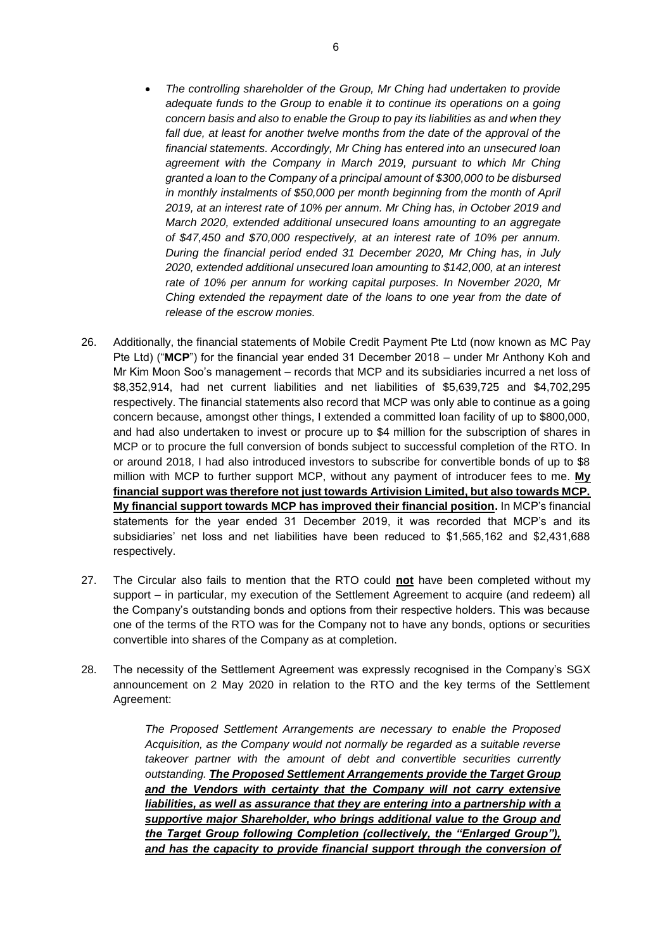- *The controlling shareholder of the Group, Mr Ching had undertaken to provide adequate funds to the Group to enable it to continue its operations on a going concern basis and also to enable the Group to pay its liabilities as and when they*  fall due, at least for another twelve months from the date of the approval of the *financial statements. Accordingly, Mr Ching has entered into an unsecured loan agreement with the Company in March 2019, pursuant to which Mr Ching granted a loan to the Company of a principal amount of \$300,000 to be disbursed in monthly instalments of \$50,000 per month beginning from the month of April 2019, at an interest rate of 10% per annum. Mr Ching has, in October 2019 and March 2020, extended additional unsecured loans amounting to an aggregate of \$47,450 and \$70,000 respectively, at an interest rate of 10% per annum. During the financial period ended 31 December 2020, Mr Ching has, in July 2020, extended additional unsecured loan amounting to \$142,000, at an interest rate of 10% per annum for working capital purposes. In November 2020, Mr Ching extended the repayment date of the loans to one year from the date of release of the escrow monies.*
- 26. Additionally, the financial statements of Mobile Credit Payment Pte Ltd (now known as MC Pay Pte Ltd) ("**MCP**") for the financial year ended 31 December 2018 – under Mr Anthony Koh and Mr Kim Moon Soo's management – records that MCP and its subsidiaries incurred a net loss of \$8,352,914, had net current liabilities and net liabilities of \$5,639,725 and \$4,702,295 respectively. The financial statements also record that MCP was only able to continue as a going concern because, amongst other things, I extended a committed loan facility of up to \$800,000, and had also undertaken to invest or procure up to \$4 million for the subscription of shares in MCP or to procure the full conversion of bonds subject to successful completion of the RTO. In or around 2018, I had also introduced investors to subscribe for convertible bonds of up to \$8 million with MCP to further support MCP, without any payment of introducer fees to me. **My financial support was therefore not just towards Artivision Limited, but also towards MCP. My financial support towards MCP has improved their financial position.** In MCP's financial statements for the year ended 31 December 2019, it was recorded that MCP's and its subsidiaries' net loss and net liabilities have been reduced to \$1,565,162 and \$2,431,688 respectively.
- 27. The Circular also fails to mention that the RTO could **not** have been completed without my support – in particular, my execution of the Settlement Agreement to acquire (and redeem) all the Company's outstanding bonds and options from their respective holders. This was because one of the terms of the RTO was for the Company not to have any bonds, options or securities convertible into shares of the Company as at completion.
- 28. The necessity of the Settlement Agreement was expressly recognised in the Company's SGX announcement on 2 May 2020 in relation to the RTO and the key terms of the Settlement Agreement:

*The Proposed Settlement Arrangements are necessary to enable the Proposed Acquisition, as the Company would not normally be regarded as a suitable reverse takeover partner with the amount of debt and convertible securities currently outstanding. The Proposed Settlement Arrangements provide the Target Group*  and the Vendors with certainty that the Company will not carry extensive liabilities, as well as assurance that they are entering into a partnership with a *supportive major Shareholder, who brings additional value to the Group and the Target Group following Completion (collectively, the "Enlarged Group"),*  and has the capacity to provide financial support through the conversion of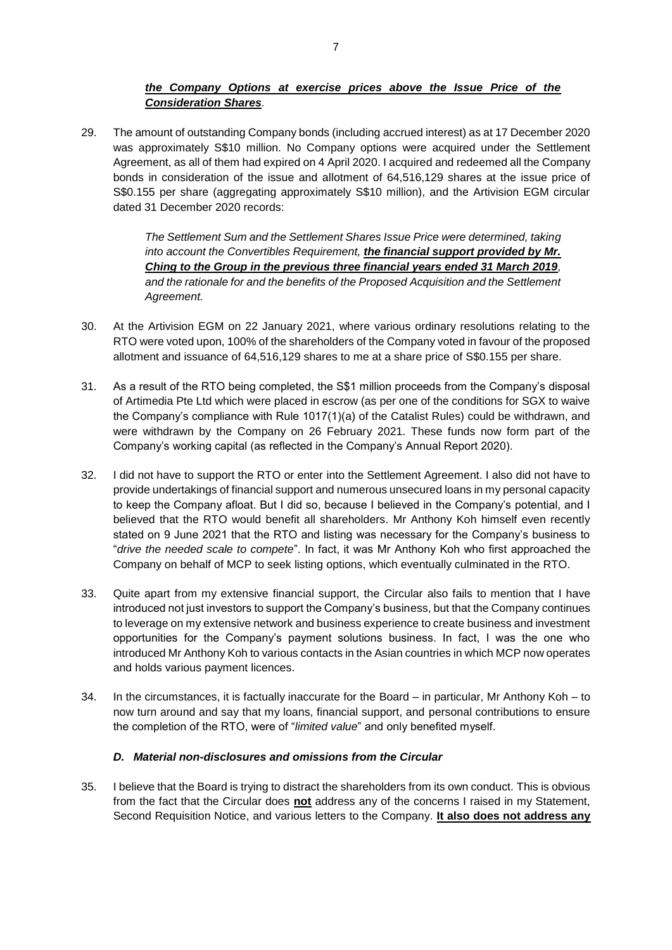# *the Company Options at exercise prices above the Issue Price of the Consideration Shares.*

29. The amount of outstanding Company bonds (including accrued interest) as at 17 December 2020 was approximately S\$10 million. No Company options were acquired under the Settlement Agreement, as all of them had expired on 4 April 2020. I acquired and redeemed all the Company bonds in consideration of the issue and allotment of 64,516,129 shares at the issue price of S\$0.155 per share (aggregating approximately S\$10 million), and the Artivision EGM circular dated 31 December 2020 records:

> *The Settlement Sum and the Settlement Shares Issue Price were determined, taking into account the Convertibles Requirement, the financial support provided by Mr. Ching to the Group in the previous three financial years ended 31 March 2019, and the rationale for and the benefits of the Proposed Acquisition and the Settlement Agreement.*

- 30. At the Artivision EGM on 22 January 2021, where various ordinary resolutions relating to the RTO were voted upon, 100% of the shareholders of the Company voted in favour of the proposed allotment and issuance of 64,516,129 shares to me at a share price of S\$0.155 per share.
- 31. As a result of the RTO being completed, the S\$1 million proceeds from the Company's disposal of Artimedia Pte Ltd which were placed in escrow (as per one of the conditions for SGX to waive the Company's compliance with Rule 1017(1)(a) of the Catalist Rules) could be withdrawn, and were withdrawn by the Company on 26 February 2021. These funds now form part of the Company's working capital (as reflected in the Company's Annual Report 2020).
- 32. I did not have to support the RTO or enter into the Settlement Agreement. I also did not have to provide undertakings of financial support and numerous unsecured loans in my personal capacity to keep the Company afloat. But I did so, because I believed in the Company's potential, and I believed that the RTO would benefit all shareholders. Mr Anthony Koh himself even recently stated on 9 June 2021 that the RTO and listing was necessary for the Company's business to "*drive the needed scale to compete*". In fact, it was Mr Anthony Koh who first approached the Company on behalf of MCP to seek listing options, which eventually culminated in the RTO.
- 33. Quite apart from my extensive financial support, the Circular also fails to mention that I have introduced not just investors to support the Company's business, but that the Company continues to leverage on my extensive network and business experience to create business and investment opportunities for the Company's payment solutions business. In fact, I was the one who introduced Mr Anthony Koh to various contacts in the Asian countries in which MCP now operates and holds various payment licences.
- 34. In the circumstances, it is factually inaccurate for the Board in particular, Mr Anthony Koh to now turn around and say that my loans, financial support, and personal contributions to ensure the completion of the RTO, were of "*limited value*" and only benefited myself.

### *D. Material non-disclosures and omissions from the Circular*

35. I believe that the Board is trying to distract the shareholders from its own conduct. This is obvious from the fact that the Circular does **not** address any of the concerns I raised in my Statement, Second Requisition Notice, and various letters to the Company. **It also does not address any**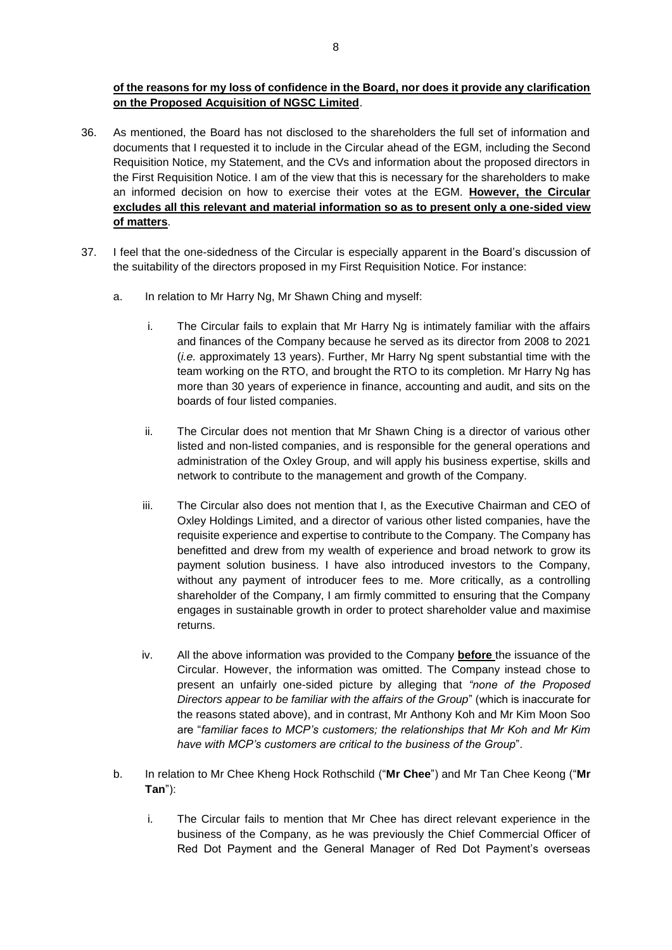**of the reasons for my loss of confidence in the Board, nor does it provide any clarification on the Proposed Acquisition of NGSC Limited**.

- 36. As mentioned, the Board has not disclosed to the shareholders the full set of information and documents that I requested it to include in the Circular ahead of the EGM, including the Second Requisition Notice, my Statement, and the CVs and information about the proposed directors in the First Requisition Notice. I am of the view that this is necessary for the shareholders to make an informed decision on how to exercise their votes at the EGM. **However, the Circular excludes all this relevant and material information so as to present only a one-sided view of matters**.
- 37. I feel that the one-sidedness of the Circular is especially apparent in the Board's discussion of the suitability of the directors proposed in my First Requisition Notice. For instance:
	- a. In relation to Mr Harry Ng, Mr Shawn Ching and myself:
		- i. The Circular fails to explain that Mr Harry Ng is intimately familiar with the affairs and finances of the Company because he served as its director from 2008 to 2021 (*i.e.* approximately 13 years). Further, Mr Harry Ng spent substantial time with the team working on the RTO, and brought the RTO to its completion. Mr Harry Ng has more than 30 years of experience in finance, accounting and audit, and sits on the boards of four listed companies.
		- ii. The Circular does not mention that Mr Shawn Ching is a director of various other listed and non-listed companies, and is responsible for the general operations and administration of the Oxley Group, and will apply his business expertise, skills and network to contribute to the management and growth of the Company.
		- iii. The Circular also does not mention that I, as the Executive Chairman and CEO of Oxley Holdings Limited, and a director of various other listed companies, have the requisite experience and expertise to contribute to the Company. The Company has benefitted and drew from my wealth of experience and broad network to grow its payment solution business. I have also introduced investors to the Company, without any payment of introducer fees to me. More critically, as a controlling shareholder of the Company, I am firmly committed to ensuring that the Company engages in sustainable growth in order to protect shareholder value and maximise returns.
		- iv. All the above information was provided to the Company **before** the issuance of the Circular. However, the information was omitted. The Company instead chose to present an unfairly one-sided picture by alleging that *"none of the Proposed Directors appear to be familiar with the affairs of the Group*" (which is inaccurate for the reasons stated above), and in contrast, Mr Anthony Koh and Mr Kim Moon Soo are "*familiar faces to MCP's customers; the relationships that Mr Koh and Mr Kim have with MCP's customers are critical to the business of the Group*".
	- b. In relation to Mr Chee Kheng Hock Rothschild ("**Mr Chee**") and Mr Tan Chee Keong ("**Mr Tan**"):
		- i. The Circular fails to mention that Mr Chee has direct relevant experience in the business of the Company, as he was previously the Chief Commercial Officer of Red Dot Payment and the General Manager of Red Dot Payment's overseas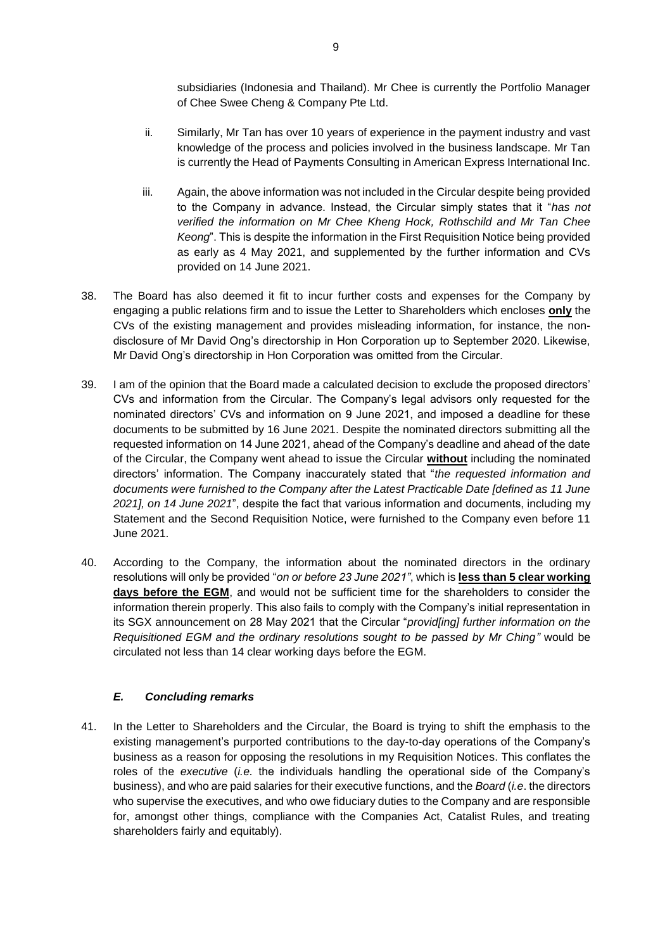subsidiaries (Indonesia and Thailand). Mr Chee is currently the Portfolio Manager of Chee Swee Cheng & Company Pte Ltd.

- ii. Similarly, Mr Tan has over 10 years of experience in the payment industry and vast knowledge of the process and policies involved in the business landscape. Mr Tan is currently the Head of Payments Consulting in American Express International Inc.
- iii. Again, the above information was not included in the Circular despite being provided to the Company in advance. Instead, the Circular simply states that it "*has not verified the information on Mr Chee Kheng Hock, Rothschild and Mr Tan Chee Keong*". This is despite the information in the First Requisition Notice being provided as early as 4 May 2021, and supplemented by the further information and CVs provided on 14 June 2021.
- 38. The Board has also deemed it fit to incur further costs and expenses for the Company by engaging a public relations firm and to issue the Letter to Shareholders which encloses **only** the CVs of the existing management and provides misleading information, for instance, the nondisclosure of Mr David Ong's directorship in Hon Corporation up to September 2020. Likewise, Mr David Ong's directorship in Hon Corporation was omitted from the Circular.
- 39. I am of the opinion that the Board made a calculated decision to exclude the proposed directors' CVs and information from the Circular. The Company's legal advisors only requested for the nominated directors' CVs and information on 9 June 2021, and imposed a deadline for these documents to be submitted by 16 June 2021. Despite the nominated directors submitting all the requested information on 14 June 2021, ahead of the Company's deadline and ahead of the date of the Circular, the Company went ahead to issue the Circular **without** including the nominated directors' information. The Company inaccurately stated that "*the requested information and documents were furnished to the Company after the Latest Practicable Date [defined as 11 June 2021], on 14 June 2021*", despite the fact that various information and documents, including my Statement and the Second Requisition Notice, were furnished to the Company even before 11 June 2021.
- 40. According to the Company, the information about the nominated directors in the ordinary resolutions will only be provided "*on or before 23 June 2021"*, which is **less than 5 clear working days before the EGM**, and would not be sufficient time for the shareholders to consider the information therein properly. This also fails to comply with the Company's initial representation in its SGX announcement on 28 May 2021 that the Circular "*provid[ing] further information on the Requisitioned EGM and the ordinary resolutions sought to be passed by Mr Ching"* would be circulated not less than 14 clear working days before the EGM.

### *E. Concluding remarks*

41. In the Letter to Shareholders and the Circular, the Board is trying to shift the emphasis to the existing management's purported contributions to the day-to-day operations of the Company's business as a reason for opposing the resolutions in my Requisition Notices. This conflates the roles of the *executive* (*i.e.* the individuals handling the operational side of the Company's business), and who are paid salaries for their executive functions, and the *Board* (*i.e*. the directors who supervise the executives, and who owe fiduciary duties to the Company and are responsible for, amongst other things, compliance with the Companies Act, Catalist Rules, and treating shareholders fairly and equitably).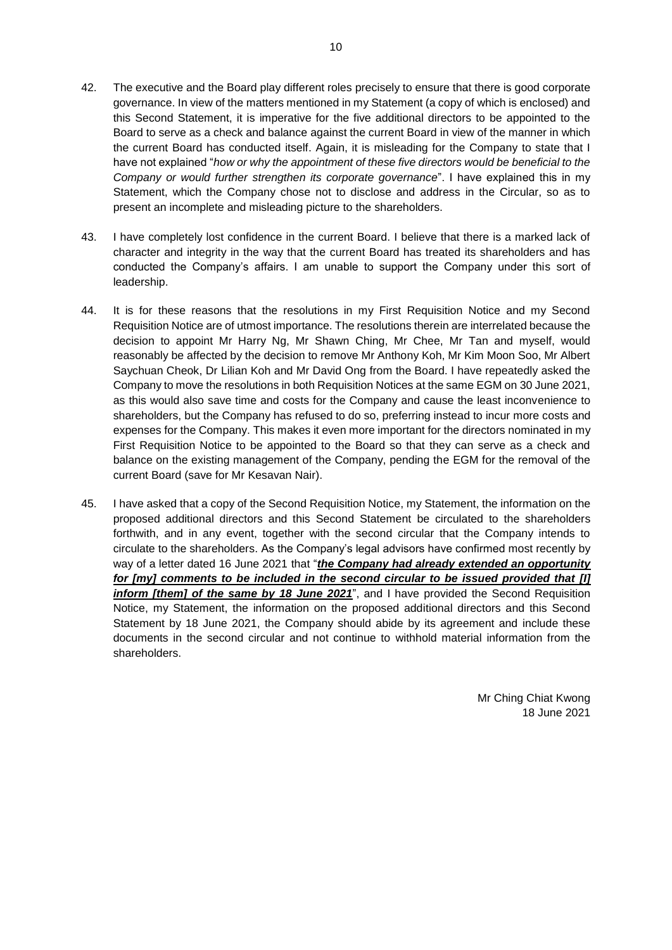- 42. The executive and the Board play different roles precisely to ensure that there is good corporate governance. In view of the matters mentioned in my Statement (a copy of which is enclosed) and this Second Statement, it is imperative for the five additional directors to be appointed to the Board to serve as a check and balance against the current Board in view of the manner in which the current Board has conducted itself. Again, it is misleading for the Company to state that I have not explained "*how or why the appointment of these five directors would be beneficial to the Company or would further strengthen its corporate governance*". I have explained this in my Statement, which the Company chose not to disclose and address in the Circular, so as to present an incomplete and misleading picture to the shareholders.
- 43. I have completely lost confidence in the current Board. I believe that there is a marked lack of character and integrity in the way that the current Board has treated its shareholders and has conducted the Company's affairs. I am unable to support the Company under this sort of leadership.
- 44. It is for these reasons that the resolutions in my First Requisition Notice and my Second Requisition Notice are of utmost importance. The resolutions therein are interrelated because the decision to appoint Mr Harry Ng, Mr Shawn Ching, Mr Chee, Mr Tan and myself, would reasonably be affected by the decision to remove Mr Anthony Koh, Mr Kim Moon Soo, Mr Albert Saychuan Cheok, Dr Lilian Koh and Mr David Ong from the Board. I have repeatedly asked the Company to move the resolutions in both Requisition Notices at the same EGM on 30 June 2021, as this would also save time and costs for the Company and cause the least inconvenience to shareholders, but the Company has refused to do so, preferring instead to incur more costs and expenses for the Company. This makes it even more important for the directors nominated in my First Requisition Notice to be appointed to the Board so that they can serve as a check and balance on the existing management of the Company, pending the EGM for the removal of the current Board (save for Mr Kesavan Nair).
- 45. I have asked that a copy of the Second Requisition Notice, my Statement, the information on the proposed additional directors and this Second Statement be circulated to the shareholders forthwith, and in any event, together with the second circular that the Company intends to circulate to the shareholders. As the Company's legal advisors have confirmed most recently by way of a letter dated 16 June 2021 that "*the Company had already extended an opportunity for [my] comments to be included in the second circular to be issued provided that [I] inform [them] of the same by 18 June 2021*", and I have provided the Second Requisition Notice, my Statement, the information on the proposed additional directors and this Second Statement by 18 June 2021, the Company should abide by its agreement and include these documents in the second circular and not continue to withhold material information from the shareholders.

Mr Ching Chiat Kwong 18 June 2021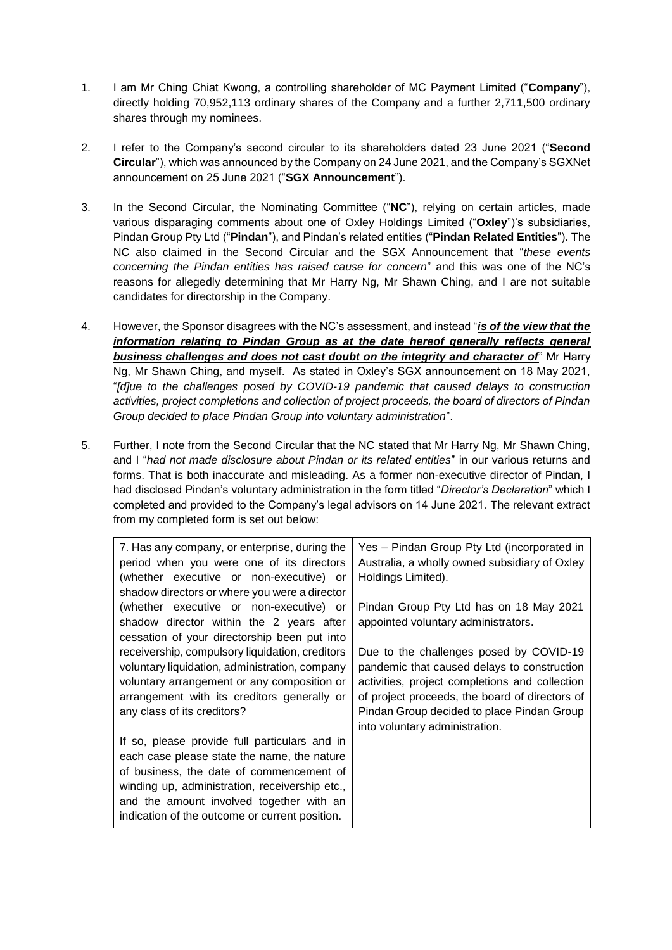- 1. I am Mr Ching Chiat Kwong, a controlling shareholder of MC Payment Limited ("**Company**"), directly holding 70,952,113 ordinary shares of the Company and a further 2,711,500 ordinary shares through my nominees.
- 2. I refer to the Company's second circular to its shareholders dated 23 June 2021 ("**Second Circular**"), which was announced by the Company on 24 June 2021, and the Company's SGXNet announcement on 25 June 2021 ("**SGX Announcement**").
- 3. In the Second Circular, the Nominating Committee ("**NC**"), relying on certain articles, made various disparaging comments about one of Oxley Holdings Limited ("**Oxley**")'s subsidiaries, Pindan Group Pty Ltd ("**Pindan**"), and Pindan's related entities ("**Pindan Related Entities**"). The NC also claimed in the Second Circular and the SGX Announcement that "*these events concerning the Pindan entities has raised cause for concern*" and this was one of the NC's reasons for allegedly determining that Mr Harry Ng, Mr Shawn Ching, and I are not suitable candidates for directorship in the Company.
- 4. However, the Sponsor disagrees with the NC's assessment, and instead "*is of the view that the information relating to Pindan Group as at the date hereof generally reflects general business challenges and does not cast doubt on the integrity and character of*" Mr Harry Ng, Mr Shawn Ching, and myself. As stated in Oxley's SGX announcement on 18 May 2021, "*[d]ue to the challenges posed by COVID-19 pandemic that caused delays to construction activities, project completions and collection of project proceeds, the board of directors of Pindan Group decided to place Pindan Group into voluntary administration*".
- 5. Further, I note from the Second Circular that the NC stated that Mr Harry Ng, Mr Shawn Ching, and I "*had not made disclosure about Pindan or its related entities*" in our various returns and forms. That is both inaccurate and misleading. As a former non-executive director of Pindan, I had disclosed Pindan's voluntary administration in the form titled "*Director's Declaration*" which I completed and provided to the Company's legal advisors on 14 June 2021. The relevant extract from my completed form is set out below:

| 7. Has any company, or enterprise, during the<br>period when you were one of its directors<br>(whether executive or non-executive) or<br>shadow directors or where you were a director                                                                                                   | Yes - Pindan Group Pty Ltd (incorporated in<br>Australia, a wholly owned subsidiary of Oxley<br>Holdings Limited).                                                                                                                                                         |
|------------------------------------------------------------------------------------------------------------------------------------------------------------------------------------------------------------------------------------------------------------------------------------------|----------------------------------------------------------------------------------------------------------------------------------------------------------------------------------------------------------------------------------------------------------------------------|
| (whether executive or non-executive) or<br>shadow director within the 2 years after<br>cessation of your directorship been put into                                                                                                                                                      | Pindan Group Pty Ltd has on 18 May 2021<br>appointed voluntary administrators.                                                                                                                                                                                             |
| receivership, compulsory liquidation, creditors<br>voluntary liquidation, administration, company<br>voluntary arrangement or any composition or<br>arrangement with its creditors generally or<br>any class of its creditors?                                                           | Due to the challenges posed by COVID-19<br>pandemic that caused delays to construction<br>activities, project completions and collection<br>of project proceeds, the board of directors of<br>Pindan Group decided to place Pindan Group<br>into voluntary administration. |
| If so, please provide full particulars and in<br>each case please state the name, the nature<br>of business, the date of commencement of<br>winding up, administration, receivership etc.,<br>and the amount involved together with an<br>indication of the outcome or current position. |                                                                                                                                                                                                                                                                            |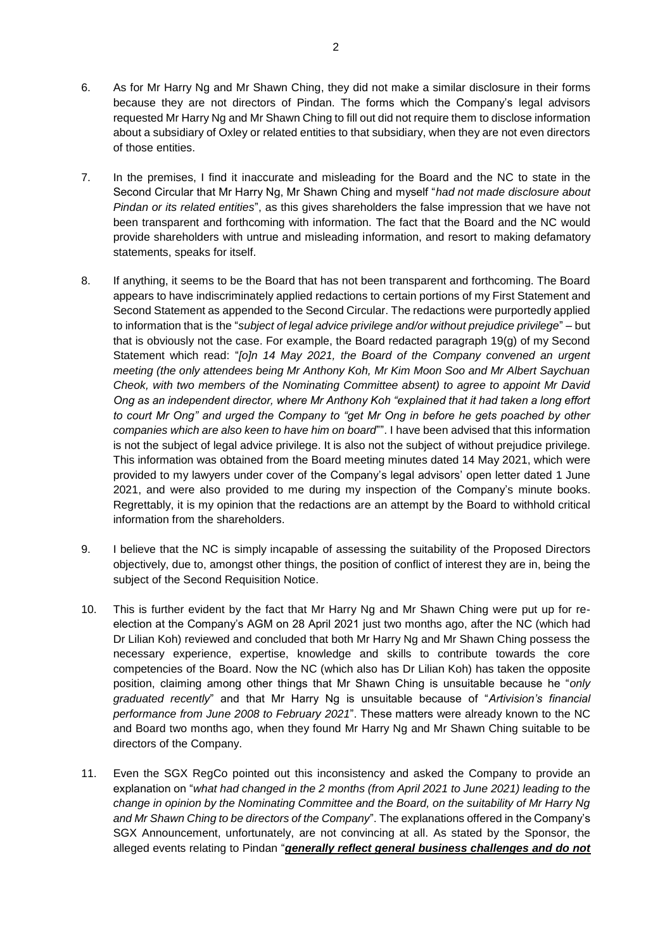- 6. As for Mr Harry Ng and Mr Shawn Ching, they did not make a similar disclosure in their forms because they are not directors of Pindan. The forms which the Company's legal advisors requested Mr Harry Ng and Mr Shawn Ching to fill out did not require them to disclose information about a subsidiary of Oxley or related entities to that subsidiary, when they are not even directors of those entities.
- 7. In the premises, I find it inaccurate and misleading for the Board and the NC to state in the Second Circular that Mr Harry Ng, Mr Shawn Ching and myself "*had not made disclosure about Pindan or its related entities*", as this gives shareholders the false impression that we have not been transparent and forthcoming with information. The fact that the Board and the NC would provide shareholders with untrue and misleading information, and resort to making defamatory statements, speaks for itself.
- 8. If anything, it seems to be the Board that has not been transparent and forthcoming. The Board appears to have indiscriminately applied redactions to certain portions of my First Statement and Second Statement as appended to the Second Circular. The redactions were purportedly applied to information that is the "*subject of legal advice privilege and/or without prejudice privilege*" – but that is obviously not the case. For example, the Board redacted paragraph 19(g) of my Second Statement which read: "*[o]n 14 May 2021, the Board of the Company convened an urgent meeting (the only attendees being Mr Anthony Koh, Mr Kim Moon Soo and Mr Albert Saychuan Cheok, with two members of the Nominating Committee absent) to agree to appoint Mr David Ong as an independent director, where Mr Anthony Koh "explained that it had taken a long effort to court Mr Ong" and urged the Company to "get Mr Ong in before he gets poached by other companies which are also keen to have him on board*"". I have been advised that this information is not the subject of legal advice privilege. It is also not the subject of without prejudice privilege. This information was obtained from the Board meeting minutes dated 14 May 2021, which were provided to my lawyers under cover of the Company's legal advisors' open letter dated 1 June 2021, and were also provided to me during my inspection of the Company's minute books. Regrettably, it is my opinion that the redactions are an attempt by the Board to withhold critical information from the shareholders.
- 9. I believe that the NC is simply incapable of assessing the suitability of the Proposed Directors objectively, due to, amongst other things, the position of conflict of interest they are in, being the subject of the Second Requisition Notice.
- 10. This is further evident by the fact that Mr Harry Ng and Mr Shawn Ching were put up for reelection at the Company's AGM on 28 April 2021 just two months ago, after the NC (which had Dr Lilian Koh) reviewed and concluded that both Mr Harry Ng and Mr Shawn Ching possess the necessary experience, expertise, knowledge and skills to contribute towards the core competencies of the Board. Now the NC (which also has Dr Lilian Koh) has taken the opposite position, claiming among other things that Mr Shawn Ching is unsuitable because he "*only graduated recently*" and that Mr Harry Ng is unsuitable because of "*Artivision's financial performance from June 2008 to February 2021*". These matters were already known to the NC and Board two months ago, when they found Mr Harry Ng and Mr Shawn Ching suitable to be directors of the Company.
- 11. Even the SGX RegCo pointed out this inconsistency and asked the Company to provide an explanation on "*what had changed in the 2 months (from April 2021 to June 2021) leading to the change in opinion by the Nominating Committee and the Board, on the suitability of Mr Harry Ng and Mr Shawn Ching to be directors of the Company*". The explanations offered in the Company's SGX Announcement, unfortunately, are not convincing at all. As stated by the Sponsor, the alleged events relating to Pindan "*generally reflect general business challenges and do not*